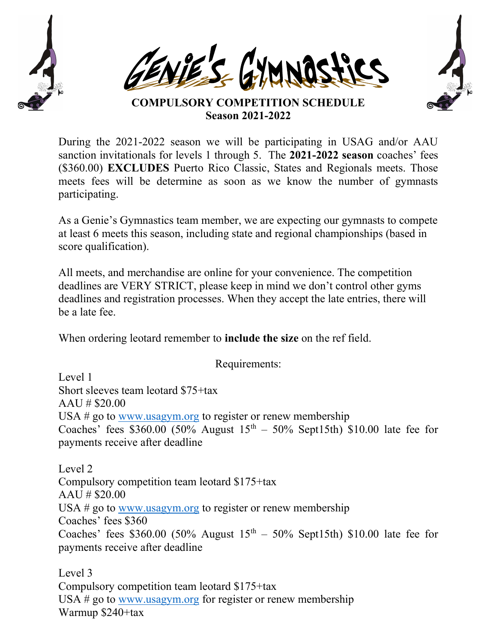





COMPULSORY COMPETITION SCHEDULE Season 2021-2022

During the 2021-2022 season we will be participating in USAG and/or AAU sanction invitationals for levels 1 through 5. The 2021-2022 season coaches' fees (\$360.00) EXCLUDES Puerto Rico Classic, States and Regionals meets. Those meets fees will be determine as soon as we know the number of gymnasts participating.

As a Genie's Gymnastics team member, we are expecting our gymnasts to compete at least 6 meets this season, including state and regional championships (based in score qualification).

All meets, and merchandise are online for your convenience. The competition deadlines are VERY STRICT, please keep in mind we don't control other gyms deadlines and registration processes. When they accept the late entries, there will be a late fee.

When ordering leotard remember to **include the size** on the ref field.

Requirements:

Level 1 Short sleeves team leotard \$75+tax  $A A U # $20.00$ USA # go to www.usagym.org to register or renew membership Coaches' fees \$360.00 (50% August  $15<sup>th</sup> - 50%$  Sept15th) \$10.00 late fee for payments receive after deadline

Level 2 Compulsory competition team leotard \$175+tax AAU # \$20.00 USA # go to www.usagym.org to register or renew membership Coaches' fees \$360 Coaches' fees \$360.00 (50% August  $15<sup>th</sup> - 50%$  Sept15th) \$10.00 late fee for payments receive after deadline

Level 3 Compulsory competition team leotard \$175+tax USA # go to www.usagym.org for register or renew membership Warmup \$240+tax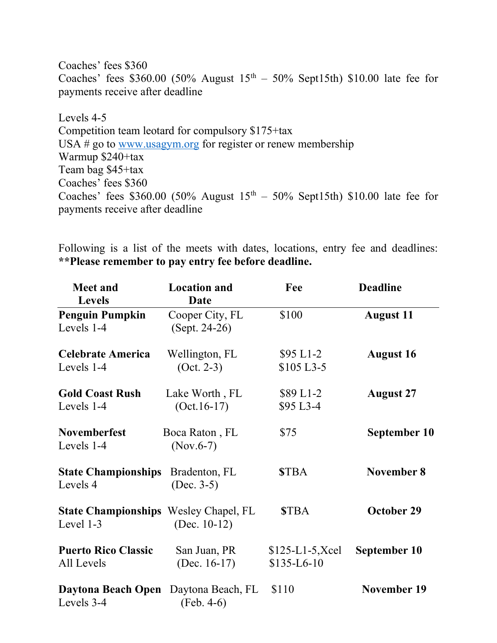Coaches' fees \$360 Coaches' fees \$360.00 (50% August  $15<sup>th</sup> - 50%$  Sept15th) \$10.00 late fee for payments receive after deadline

Levels 4-5 Competition team leotard for compulsory \$175+tax USA # go to www.usagym.org for register or renew membership Warmup \$240+tax Team bag \$45+tax Coaches' fees \$360 Coaches' fees \$360.00 (50% August  $15<sup>th</sup> - 50%$  Sept15th) \$10.00 late fee for payments receive after deadline

Following is a list of the meets with dates, locations, entry fee and deadlines: \*\*Please remember to pay entry fee before deadline.

| <b>Meet and</b><br><b>Levels</b>                          | <b>Location</b> and<br>Date      | Fee                               | <b>Deadline</b>    |
|-----------------------------------------------------------|----------------------------------|-----------------------------------|--------------------|
| <b>Penguin Pumpkin</b><br>Levels 1-4                      | Cooper City, FL<br>(Sept. 24-26) | \$100                             | <b>August 11</b>   |
| <b>Celebrate America</b><br>Levels 1-4                    | Wellington, FL<br>$(Oct. 2-3)$   | $$95 L1-2$<br>\$105 L3-5          | <b>August 16</b>   |
| <b>Gold Coast Rush</b><br>Levels 1-4                      | Lake Worth, FL<br>$(Oct.16-17)$  | \$89 L1-2<br>\$95 L3-4            | <b>August 27</b>   |
| <b>Novemberfest</b><br>Levels 1-4                         | Boca Raton, FL<br>$(Nov.6-7)$    | \$75                              | September 10       |
| <b>State Championships</b><br>Levels 4                    | Bradenton, FL<br>$(Dec. 3-5)$    | <b>STBA</b>                       | <b>November 8</b>  |
| <b>State Championships</b> Wesley Chapel, FL<br>Level 1-3 | (Dec. $10-12$ )                  | <b>STBA</b>                       | <b>October 29</b>  |
| <b>Puerto Rico Classic</b><br>All Levels                  | San Juan, PR<br>(Dec. $16-17$ )  | $$125-L1-5, Xcel$<br>$$135-L6-10$ | September 10       |
| Daytona Beach Open<br>Levels 3-4                          | Daytona Beach, FL<br>(Feb. 4-6)  | \$110                             | <b>November 19</b> |